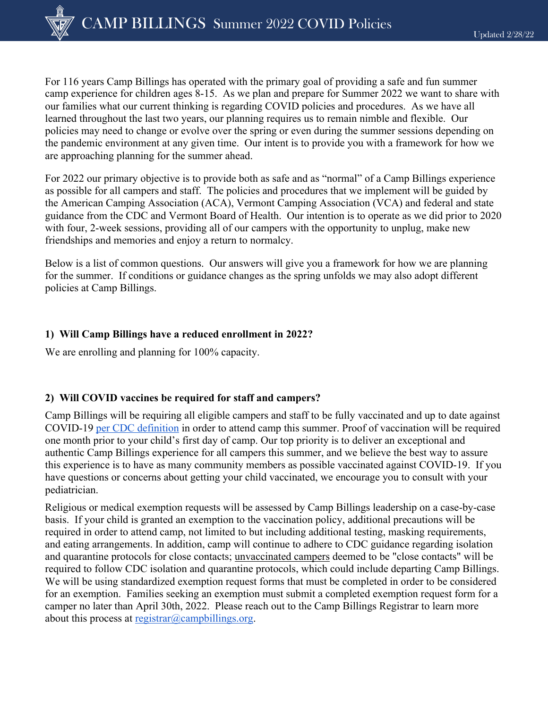For 116 years Camp Billings has operated with the primary goal of providing a safe and fun summer camp experience for children ages 8-15. As we plan and prepare for Summer 2022 we want to share with our families what our current thinking is regarding COVID policies and procedures. As we have all learned throughout the last two years, our planning requires us to remain nimble and flexible. Our policies may need to change or evolve over the spring or even during the summer sessions depending on the pandemic environment at any given time. Our intent is to provide you with a framework for how we are approaching planning for the summer ahead.

For 2022 our primary objective is to provide both as safe and as "normal" of a Camp Billings experience as possible for all campers and staff. The policies and procedures that we implement will be guided by the American Camping Association (ACA), Vermont Camping Association (VCA) and federal and state guidance from the CDC and Vermont Board of Health. Our intention is to operate as we did prior to 2020 with four, 2-week sessions, providing all of our campers with the opportunity to unplug, make new friendships and memories and enjoy a return to normalcy.

Below is a list of common questions. Our answers will give you a framework for how we are planning for the summer. If conditions or guidance changes as the spring unfolds we may also adopt different policies at Camp Billings.

## **1) Will Camp Billings have a reduced enrollment in 2022?**

We are enrolling and planning for 100% capacity.

# **2) Will COVID vaccines be required for staff and campers?**

Camp Billings will be requiring all eligible campers and staff to be fully vaccinated and up to date against COVID-19 per CDC definition in order to attend camp this summer. Proof of vaccination will be required one month prior to your child's first day of camp. Our top priority is to deliver an exceptional and authentic Camp Billings experience for all campers this summer, and we believe the best way to assure this experience is to have as many community members as possible vaccinated against COVID-19. If you have questions or concerns about getting your child vaccinated, we encourage you to consult with your pediatrician.

Religious or medical exemption requests will be assessed by Camp Billings leadership on a case-by-case basis. If your child is granted an exemption to the vaccination policy, additional precautions will be required in order to attend camp, not limited to but including additional testing, masking requirements, and eating arrangements. In addition, camp will continue to adhere to CDC guidance regarding isolation and quarantine protocols for close contacts; unvaccinated campers deemed to be "close contacts" will be required to follow CDC isolation and quarantine protocols, which could include departing Camp Billings. We will be using standardized exemption request forms that must be completed in order to be considered for an exemption. Families seeking an exemption must submit a completed exemption request form for a camper no later than April 30th, 2022. Please reach out to the Camp Billings Registrar to learn more about this process at registrar@campbillings.org.